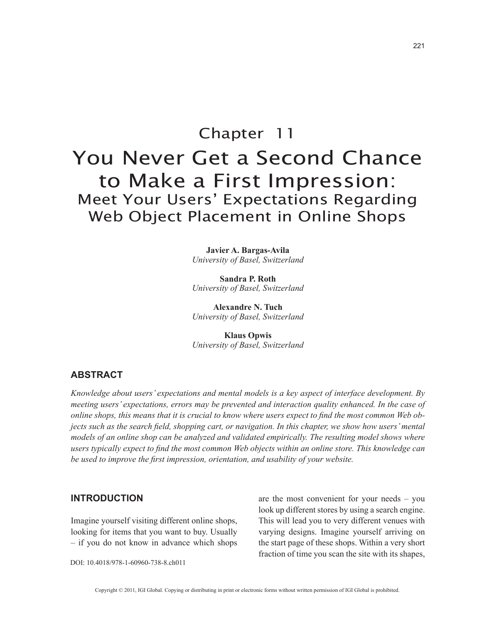# Chapter 11 You Never Get a Second Chance to Make a First Impression: Meet Your Users' Expectations Regarding Web Object Placement in Online Shops

**Javier A. Bargas-Avila** *University of Basel, Switzerland*

**Sandra P. Roth** *University of Basel, Switzerland*

**Alexandre N. Tuch** *University of Basel, Switzerland*

**Klaus Opwis** *University of Basel, Switzerland*

### **ABSTRACT**

*Knowledge about users' expectations and mental models is a key aspect of interface development. By meeting users' expectations, errors may be prevented and interaction quality enhanced. In the case of online shops, this means that it is crucial to know where users expect to find the most common Web objects such as the search field, shopping cart, or navigation. In this chapter, we show how users' mental models of an online shop can be analyzed and validated empirically. The resulting model shows where users typically expect to find the most common Web objects within an online store. This knowledge can be used to improve the first impression, orientation, and usability of your website.*

## **INTRODUCTION**

Imagine yourself visiting different online shops, looking for items that you want to buy. Usually – if you do not know in advance which shops are the most convenient for your needs – you look up different stores by using a search engine. This will lead you to very different venues with varying designs. Imagine yourself arriving on the start page of these shops. Within a very short fraction of time you scan the site with its shapes,

DOI: 10.4018/978-1-60960-738-8.ch011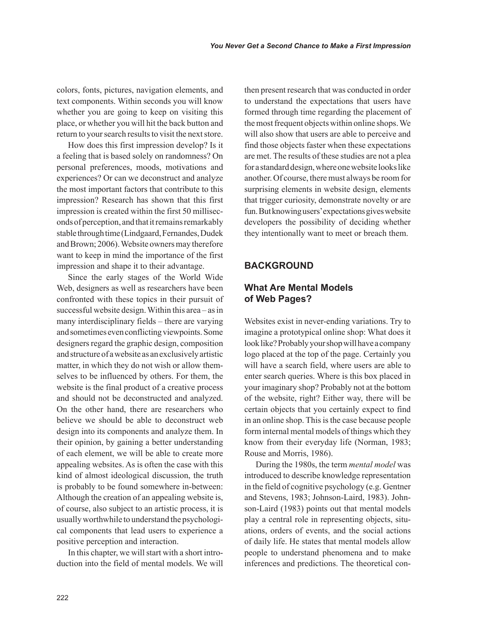colors, fonts, pictures, navigation elements, and text components. Within seconds you will know whether you are going to keep on visiting this place, or whether you will hit the back button and return to your search results to visit the next store.

How does this first impression develop? Is it a feeling that is based solely on randomness? On personal preferences, moods, motivations and experiences? Or can we deconstruct and analyze the most important factors that contribute to this impression? Research has shown that this first impression is created within the first 50 milliseconds of perception, and that it remains remarkably stable through time (Lindgaard, Fernandes, Dudek and Brown; 2006). Website owners may therefore want to keep in mind the importance of the first impression and shape it to their advantage.

Since the early stages of the World Wide Web, designers as well as researchers have been confronted with these topics in their pursuit of successful website design. Within this area – as in many interdisciplinary fields – there are varying and sometimes even conflicting viewpoints. Some designers regard the graphic design, composition and structure of a website as an exclusively artistic matter, in which they do not wish or allow themselves to be influenced by others. For them, the website is the final product of a creative process and should not be deconstructed and analyzed. On the other hand, there are researchers who believe we should be able to deconstruct web design into its components and analyze them. In their opinion, by gaining a better understanding of each element, we will be able to create more appealing websites. As is often the case with this kind of almost ideological discussion, the truth is probably to be found somewhere in-between: Although the creation of an appealing website is, of course, also subject to an artistic process, it is usually worthwhile to understand the psychological components that lead users to experience a positive perception and interaction.

In this chapter, we will start with a short introduction into the field of mental models. We will then present research that was conducted in order to understand the expectations that users have formed through time regarding the placement of the most frequent objects within online shops. We will also show that users are able to perceive and find those objects faster when these expectations are met. The results of these studies are not a plea for a standard design, where one website looks like another. Of course, there must always be room for surprising elements in website design, elements that trigger curiosity, demonstrate novelty or are fun. But knowing users' expectations gives website developers the possibility of deciding whether they intentionally want to meet or breach them.

### **BACKGROUND**

# **What Are Mental Models of Web Pages?**

Websites exist in never-ending variations. Try to imagine a prototypical online shop: What does it look like? Probably your shop will have a company logo placed at the top of the page. Certainly you will have a search field, where users are able to enter search queries. Where is this box placed in your imaginary shop? Probably not at the bottom of the website, right? Either way, there will be certain objects that you certainly expect to find in an online shop. This is the case because people form internal mental models of things which they know from their everyday life (Norman, 1983; Rouse and Morris, 1986).

During the 1980s, the term *mental model* was introduced to describe knowledge representation in the field of cognitive psychology (e.g. Gentner and Stevens, 1983; Johnson-Laird, 1983). Johnson-Laird (1983) points out that mental models play a central role in representing objects, situations, orders of events, and the social actions of daily life. He states that mental models allow people to understand phenomena and to make inferences and predictions. The theoretical con